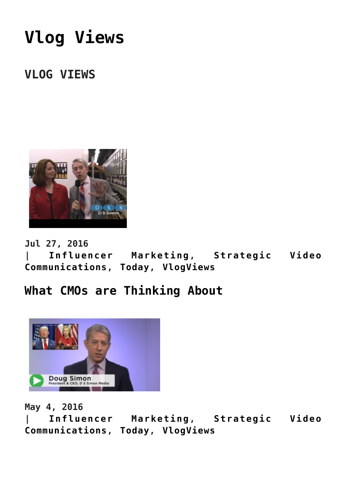# **[Vlog Views](https://www.commpro.biz/strategic-video-communications-channel/vlogviews/)**

## **VLOG VIEWS**



**Jul 27, 2016**

**| [Influencer Marketing](https://www.commpro.biz/./influencer-marketing/), [Strategic Video](https://www.commpro.biz/./strategic-video-comm/) [Communications,](https://www.commpro.biz/./strategic-video-comm/) [Today,](https://www.commpro.biz/./today/) [VlogViews](https://www.commpro.biz/./strategic-video-comm/vlogviews/)**

#### **[What CMOs are Thinking About](https://www.commpro.biz/what-cmos-are-thinking-about/)**



**May 4, 2016**

**| [Influencer Marketing](https://www.commpro.biz/./influencer-marketing/), [Strategic Video](https://www.commpro.biz/./strategic-video-comm/) [Communications,](https://www.commpro.biz/./strategic-video-comm/) [Today,](https://www.commpro.biz/./today/) [VlogViews](https://www.commpro.biz/./strategic-video-comm/vlogviews/)**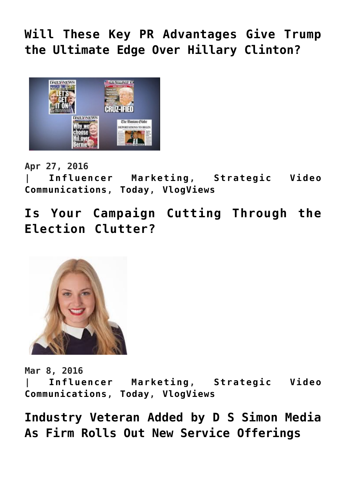**[Will These Key PR Advantages Give Trump](https://www.commpro.biz/will-these-key-pr-advantages-give-trump-the-ultimate-edge-of-hillary-clinton/) [the Ultimate Edge Over Hillary Clinton?](https://www.commpro.biz/will-these-key-pr-advantages-give-trump-the-ultimate-edge-of-hillary-clinton/)**



**Apr 27, 2016**

**| [Influencer Marketing](https://www.commpro.biz/./influencer-marketing/), [Strategic Video](https://www.commpro.biz/./strategic-video-comm/) [Communications,](https://www.commpro.biz/./strategic-video-comm/) [Today,](https://www.commpro.biz/./today/) [VlogViews](https://www.commpro.biz/./strategic-video-comm/vlogviews/)**

**[Is Your Campaign Cutting Through the](https://www.commpro.biz/is-your-campaign-cutting-through-the-election-clutter/) [Election Clutter?](https://www.commpro.biz/is-your-campaign-cutting-through-the-election-clutter/)**



**Mar 8, 2016**

**| [Influencer Marketing](https://www.commpro.biz/./influencer-marketing/), [Strategic Video](https://www.commpro.biz/./strategic-video-comm/) [Communications,](https://www.commpro.biz/./strategic-video-comm/) [Today,](https://www.commpro.biz/./today/) [VlogViews](https://www.commpro.biz/./strategic-video-comm/vlogviews/)**

**[Industry Veteran Added by D S Simon Media](https://www.commpro.biz/industry-veteran-added-by-d-s-simon-media-as-firm-rolls-out-new-service-offerings/) [As Firm Rolls Out New Service Offerings](https://www.commpro.biz/industry-veteran-added-by-d-s-simon-media-as-firm-rolls-out-new-service-offerings/)**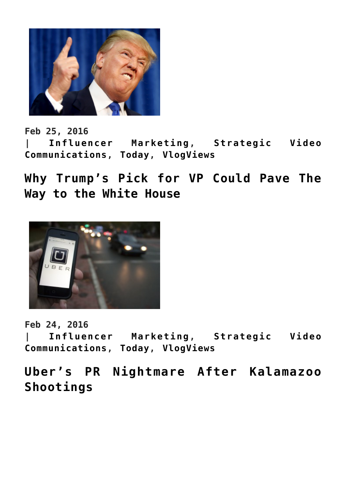

**Feb 25, 2016 | [Influencer Marketing](https://www.commpro.biz/./influencer-marketing/), [Strategic Video](https://www.commpro.biz/./strategic-video-comm/) [Communications,](https://www.commpro.biz/./strategic-video-comm/) [Today,](https://www.commpro.biz/./today/) [VlogViews](https://www.commpro.biz/./strategic-video-comm/vlogviews/)**

**[Why Trump's Pick for VP Could Pave The](https://www.commpro.biz/why-trumps-pick-for-vp-could-pave-the-way-to-the-white-house/) [Way to the White House](https://www.commpro.biz/why-trumps-pick-for-vp-could-pave-the-way-to-the-white-house/)**



**Feb 24, 2016**

**| [Influencer Marketing](https://www.commpro.biz/./influencer-marketing/), [Strategic Video](https://www.commpro.biz/./strategic-video-comm/) [Communications,](https://www.commpro.biz/./strategic-video-comm/) [Today,](https://www.commpro.biz/./today/) [VlogViews](https://www.commpro.biz/./strategic-video-comm/vlogviews/)**

**[Uber's PR Nightmare After Kalamazoo](https://www.commpro.biz/ubers-pr-nightmare-after-kalamazoo-shootings/) [Shootings](https://www.commpro.biz/ubers-pr-nightmare-after-kalamazoo-shootings/)**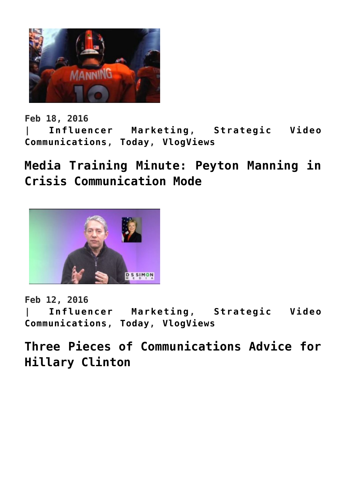

**Feb 18, 2016**

**| [Influencer Marketing](https://www.commpro.biz/./influencer-marketing/), [Strategic Video](https://www.commpro.biz/./strategic-video-comm/) [Communications,](https://www.commpro.biz/./strategic-video-comm/) [Today,](https://www.commpro.biz/./today/) [VlogViews](https://www.commpro.biz/./strategic-video-comm/vlogviews/)**

**[Media Training Minute: Peyton Manning in](https://www.commpro.biz/media-training-minute-peyton-manning-in-crisis-communication-mode/) [Crisis Communication Mode](https://www.commpro.biz/media-training-minute-peyton-manning-in-crisis-communication-mode/)**



**Feb 12, 2016**

**| [Influencer Marketing](https://www.commpro.biz/./influencer-marketing/), [Strategic Video](https://www.commpro.biz/./strategic-video-comm/) [Communications,](https://www.commpro.biz/./strategic-video-comm/) [Today,](https://www.commpro.biz/./today/) [VlogViews](https://www.commpro.biz/./strategic-video-comm/vlogviews/)**

**[Three Pieces of Communications Advice for](https://www.commpro.biz/three-pieces-of-communications-advice-for-hillary-clinton/) [Hillary Clinton](https://www.commpro.biz/three-pieces-of-communications-advice-for-hillary-clinton/)**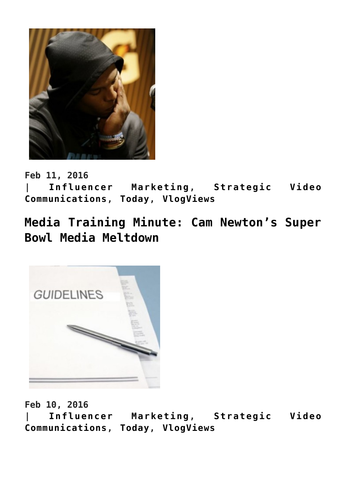

**Feb 11, 2016**

**| [Influencer Marketing](https://www.commpro.biz/./influencer-marketing/), [Strategic Video](https://www.commpro.biz/./strategic-video-comm/) [Communications,](https://www.commpro.biz/./strategic-video-comm/) [Today,](https://www.commpro.biz/./today/) [VlogViews](https://www.commpro.biz/./strategic-video-comm/vlogviews/)**

**[Media Training Minute: Cam Newton's Super](https://www.commpro.biz/media-training-minute-cam-newtons-super-bowl-media-meltdown/) [Bowl Media Meltdown](https://www.commpro.biz/media-training-minute-cam-newtons-super-bowl-media-meltdown/)**



**Feb 10, 2016**

**| [Influencer Marketing](https://www.commpro.biz/./influencer-marketing/), [Strategic Video](https://www.commpro.biz/./strategic-video-comm/) [Communications,](https://www.commpro.biz/./strategic-video-comm/) [Today,](https://www.commpro.biz/./today/) [VlogViews](https://www.commpro.biz/./strategic-video-comm/vlogviews/)**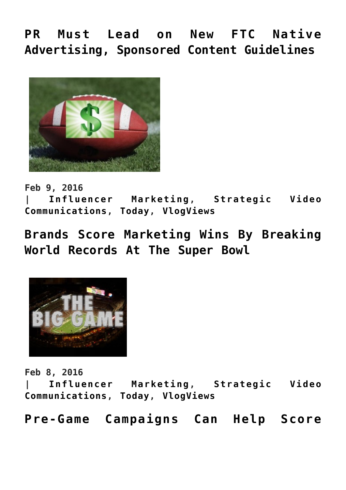**[PR Must Lead on New FTC Native](https://www.commpro.biz/pr-must-lead-on-new-ftc-native-advertising-sponsored-content-guidelines/) [Advertising, Sponsored Content Guidelines](https://www.commpro.biz/pr-must-lead-on-new-ftc-native-advertising-sponsored-content-guidelines/)**



**Feb 9, 2016 | [Influencer Marketing](https://www.commpro.biz/./influencer-marketing/), [Strategic Video](https://www.commpro.biz/./strategic-video-comm/) [Communications,](https://www.commpro.biz/./strategic-video-comm/) [Today,](https://www.commpro.biz/./today/) [VlogViews](https://www.commpro.biz/./strategic-video-comm/vlogviews/)**

**[Brands Score Marketing Wins By Breaking](https://www.commpro.biz/brands-score-marketing-wins-by-breaking-world-records-at-the-super-bowl/) [World Records At The Super Bowl](https://www.commpro.biz/brands-score-marketing-wins-by-breaking-world-records-at-the-super-bowl/)**



**Feb 8, 2016**

**| [Influencer Marketing](https://www.commpro.biz/./influencer-marketing/), [Strategic Video](https://www.commpro.biz/./strategic-video-comm/) [Communications,](https://www.commpro.biz/./strategic-video-comm/) [Today,](https://www.commpro.biz/./today/) [VlogViews](https://www.commpro.biz/./strategic-video-comm/vlogviews/)**

**[Pre-Game Campaigns Can Help Score](https://www.commpro.biz/pre-game-campaigns-can-help-score-touchdowns-for-marketers/)**